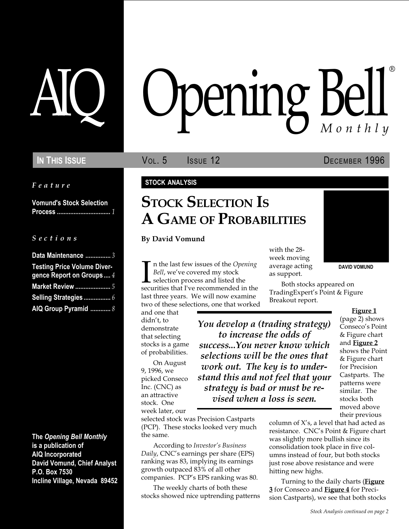Feature

Vomund's Stock Selection Process ................................ 1

#### $S$  e c t i o n s

| Data Maintenance 3                                             |
|----------------------------------------------------------------|
| <b>Testing Price Volume Diver-</b><br>gence Report on Groups 4 |
| <b>Market Review </b> 5                                        |
|                                                                |
| AIQ Group Pyramid  8                                           |

The Opening Bell Monthly is a publication of AIQ Incorporated David Vomund, Chief Analyst P.O. Box 7530 Incline Village, Nevada 89452

# AIQ Opening Bell ®

In This Issue **Vol. 5 ISSUE** Vol. 5 **ISSUE 12 DECEMBER 1996** 

DAVID VOMUND

#### STOCK ANALYSIS

## STOCK SELECTION IS A GAME OF PROBABILITIES

#### By David Vomund

 $\prod_{\mathrm{secu}}$ n the last few issues of the Opening Bell, we've covered my stock selection process and listed the securities that I've recommended in the last three years. We will now examine two of these selections, one that worked

and one that didn't, to demonstrate that selecting stocks is a game of probabilities.

On August 9, 1996, we picked Conseco Inc. (CNC) as an attractive stock. One week later, our

selected stock was Precision Castparts (PCP). These stocks looked very much the same.

According to *Investor's Business* Daily, CNC's earnings per share (EPS) ranking was 83, implying its earnings growth outpaced 83% of all other companies. PCP's EPS ranking was 80.

The weekly charts of both these stocks showed nice uptrending patterns with the 28 week moving average acting as support.

Both stocks appeared on TradingExpert's Point & Figure Breakout report.

You develop a (trading strategy) to increase the odds of success...You never know which selections will be the ones that work out. The key is to understand this and not feel that your strategy is bad or must be revised when a loss is seen.

Figure 1 (page 2) shows Conseco's Point & Figure chart and Figure 2 shows the Point & Figure chart for Precision Castparts. The patterns were similar. The stocks both moved above their previous

column of  $X$ 's, a level that had acted as resistance. CNC's Point & Figure chart was slightly more bullish since its consolidation took place in five columns instead of four, but both stocks just rose above resistance and were hitting new highs.

Turning to the daily charts (**Figure 3** for Conseco and **Figure 4** for Precision Castparts), we see that both stocks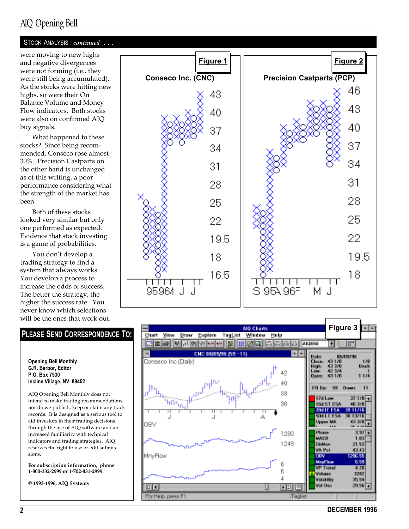## AIQ Opening Bell

#### STOCK ANALYSIS continued ...

were moving to new highs and negative divergences were not forming (i.e., they were still being accumulated). As the stocks were hitting new highs, so were their On Balance Volume and Money Flow indicators. Both stocks were also on confirmed AIQ buy signals.

What happened to these stocks? Since being recommended, Conseco rose almost 30%. Precision Castparts on the other hand is unchanged as of this writing, a poor performance considering what the strength of the market has been.

Both of these stocks looked very similar but only one performed as expected. Evidence that stock investing is a game of probabilities.

You don't develop a trading strategy to find a system that always works. You develop a process to increase the odds of success. The better the strategy, the higher the success rate. You never know which selections will be the ones that work out.



Opening Bell Monthly G.R. Barbor, Editor P.O. Box 7530 Incline Village, NV 89452

AIQ Opening Bell Monthly does not intend to make trading recommendations, nor do we publish, keep or claim any track records. It is designed as a serious tool to aid investors in their trading decisions through the use of AIQ software and an increased familiarity with technical indicators and trading strategies. AIQ reserves the right to use or edit submissions.

For subscription information, phone 1-800-332-2999 or 1-702-831-2999.

© 1993-1996, AIQ Systems





2 DECEMBER 1996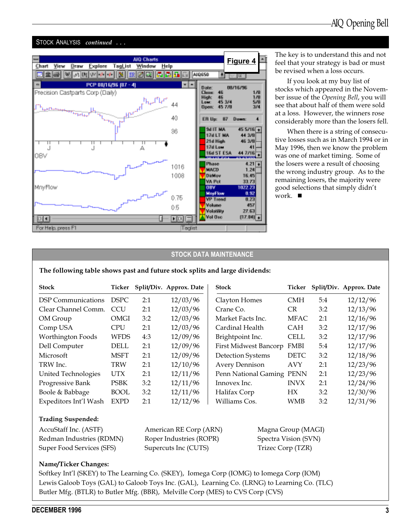#### STOCK ANALYSIS continued ...



**Figure 4** The key is to understand this and not feel that your strategy is bad or must be revised when a loss occurs.

> If you look at my buy list of stocks which appeared in the November issue of the Opening Bell, you will see that about half of them were sold at a loss. However, the winners rose considerably more than the losers fell.

> When there is a string of consecutive losses such as in March 1994 or in May 1996, then we know the problem was one of market timing. Some of the losers were a result of choosing the wrong industry group. As to the remaining losers, the majority were good selections that simply didn't work.  $\blacksquare$

#### STOCK DATA MAINTENANCE

The following table shows past and future stock splits and large dividends:

| <b>Stock</b>          | Ticker      |     | Split/Div. Approx. Date | <b>Stock</b>                 | Ticker      |     | Split/Div. Approx. Date |
|-----------------------|-------------|-----|-------------------------|------------------------------|-------------|-----|-------------------------|
| DSP Communications    | <b>DSPC</b> | 2:1 | 12/03/96                | Clayton Homes                | <b>CMH</b>  | 5:4 | 12/12/96                |
| Clear Channel Comm.   | <b>CCU</b>  | 2:1 | 12/03/96                | Crane Co.                    | <b>CR</b>   | 3:2 | 12/13/96                |
| OM Group              | <b>OMGI</b> | 3:2 | 12/03/96                | Market Facts Inc.            | <b>MFAC</b> | 2:1 | 12/16/96                |
| Comp USA              | <b>CPU</b>  | 2:1 | 12/03/96                | Cardinal Health              | <b>CAH</b>  | 3:2 | 12/17/96                |
| Worthington Foods     | WFDS        | 4:3 | 12/09/96                | Brightpoint Inc.             | <b>CELL</b> | 3:2 | 12/17/96                |
| Dell Computer         | <b>DELL</b> | 2:1 | 12/09/96                | <b>First Midwest Bancorp</b> | <b>FMBI</b> | 5:4 | 12/17/96                |
| Microsoft             | <b>MSFT</b> | 2:1 | 12/09/96                | <b>Detection Systems</b>     | <b>DETC</b> | 3:2 | 12/18/96                |
| TRW Inc.              | TRW         | 2:1 | 12/10/96                | <b>Avery Dennison</b>        | <b>AVY</b>  | 2:1 | 12/23/96                |
| United Technologies   | <b>UTX</b>  | 2:1 | 12/11/96                | Penn National Gaming PENN    |             | 2:1 | 12/23/96                |
| Progressive Bank      | <b>PSBK</b> | 3:2 | 12/11/96                | Innovex Inc.                 | <b>INVX</b> | 2:1 | 12/24/96                |
| Boole & Babbage       | <b>BOOL</b> | 3:2 | 12/11/96                | Halifax Corp                 | HX          | 3:2 | 12/30/96                |
| Expeditors Int'l Wash | <b>EXPD</b> | 2:1 | 12/12/96                | Williams Cos.                | <b>WMB</b>  | 3:2 | 12/31/96                |

#### Trading Suspended:

| AccuStaff Inc. (ASTF)     |
|---------------------------|
| Redman Industries (RDMN)  |
| Super Food Services (SFS) |

Roper Industries (ROPR) Spectra Vision (SVN) Supercuts Inc (CUTS) Trizec Corp (TZR)

American RE Corp (ARN) Magna Group (MAGI)

#### Name/Ticker Changes:

Softkey Int'l (SKEY) to The Learning Co. (SKEY), Iomega Corp (IOMG) to Iomega Corp (IOM) Lewis Galoob Toys (GAL) to Galoob Toys Inc. (GAL), Learning Co. (LRNG) to Learning Co. (TLC) Butler Mfg. (BTLR) to Butler Mfg. (BBR), Melville Corp (MES) to CVS Corp (CVS)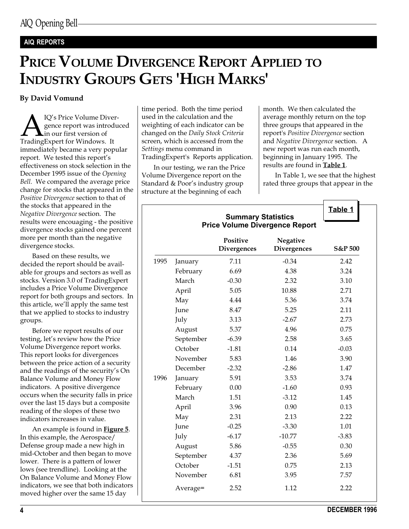## AIQ REPORTS

# PRICE VOLUME DIVERGENCE REPORT APPLIED TO INDUSTRY GROUPS GETS 'HIGH MARKS'

#### By David Vomund

**AN** IQ's Price Volume Divergence report was introdu<br>TradingExpert for Windows. It gence report was introduced in our first version of immediately became a very popular report. We tested this report's effectiveness on stock selection in the December 1995 issue of the Opening Bell. We compared the average price change for stocks that appeared in the Positive Divergence section to that of the stocks that appeared in the Negative Divergence section. The results were encouaging - the positive divergence stocks gained one percent more per month than the negative divergence stocks.

Based on these results, we decided the report should be available for groups and sectors as well as stocks. Version 3.0 of TradingExpert includes a Price Volume Divergence report for both groups and sectors. In this article, we'll apply the same test that we applied to stocks to industry groups.

Before we report results of our testing, let's review how the Price Volume Divergence report works. This report looks for divergences between the price action of a security and the readings of the security's On Balance Volume and Money Flow indicators. A positive divergence occurs when the security falls in price over the last 15 days but a composite reading of the slopes of these two indicators increases in value.

An example is found in **Figure 5**. In this example, the Aerospace/ Defense group made a new high in mid-October and then began to move lower. There is a pattern of lower lows (see trendline). Looking at the On Balance Volume and Money Flow indicators, we see that both indicators moved higher over the same 15 day

time period. Both the time period used in the calculation and the weighting of each indicator can be changed on the Daily Stock Criteria screen, which is accessed from the Settings menu command in TradingExpert's Reports application.

In our testing, we ran the Price Volume Divergence report on the Standard & Poor's industry group structure at the beginning of each

month. We then calculated the average monthly return on the top three groups that appeared in the report's Positive Divergence section and Negative Divergence section. A new report was run each month, beginning in January 1995. The results are found in **Table 1**.

In Table 1, we see that the highest rated three groups that appear in the

|      |           | <b>Summary Statistics</b>      |                                       | Table 1 |
|------|-----------|--------------------------------|---------------------------------------|---------|
|      |           |                                | <b>Price Volume Divergence Report</b> |         |
|      |           | Positive<br><b>Divergences</b> | Negative<br><b>Divergences</b>        | S&P 500 |
| 1995 | January   | 7.11                           | $-0.34$                               | 2.42    |
|      | February  | 6.69                           | 4.38                                  | 3.24    |
|      | March     | $-0.30$                        | 2.32                                  | 3.10    |
|      | April     | 5.05                           | 10.88                                 | 2.71    |
|      | May       | 4.44                           | 5.36                                  | 3.74    |
|      | June      | 8.47                           | 5.25                                  | 2.11    |
|      | July      | 3.13                           | $-2.67$                               | 2.73    |
|      | August    | 5.37                           | 4.96                                  | 0.75    |
|      | September | $-6.39$                        | 2.58                                  | 3.65    |
|      | October   | $-1.81$                        | 0.14                                  | $-0.03$ |
|      | November  | 5.83                           | 1.46                                  | 3.90    |
|      | December  | $-2.32$                        | $-2.86$                               | 1.47    |
| 1996 | January   | 5.91                           | 3.53                                  | 3.74    |
|      | February  | 0.00                           | $-1.60$                               | 0.93    |
|      | March     | 1.51                           | $-3.12$                               | 1.45    |
|      | April     | 3.96                           | 0.90                                  | 0.13    |
|      | May       | 2.31                           | 2.13                                  | 2.22    |
|      | June      | $-0.25$                        | $-3.30$                               | 1.01    |
|      | July      | $-6.17$                        | $-10.77$                              | $-3.83$ |
|      | August    | 5.86                           | $-0.55$                               | 0.30    |
|      | September | 4.37                           | 2.36                                  | 5.69    |
|      | October   | $-1.51$                        | 0.75                                  | 2.13    |
|      | November  | 6.81                           | 3.95                                  | 7.57    |
|      | Average=  | 2.52                           | 1.12                                  | 2.22    |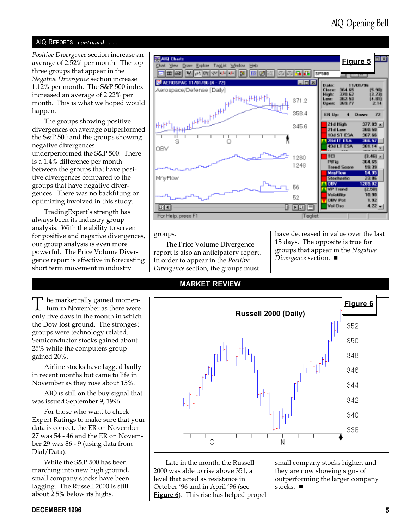#### AIQ REPORTS continued ...

Positive Divergence section increase an average of 2.52% per month. The top three groups that appear in the Negative Divergence section increase 1.12% per month. The S&P 500 index increased an average of 2.22% per month. This is what we hoped would happen.

The groups showing positive divergences on average outperformed the S&P 500 and the groups showing negative divergences underperformed the S&P 500. There is a 1.4% difference per month between the groups that have positive divergences compared to the groups that have negative divergences. There was no backfitting or optimizing involved in this study.

TradingExpert's strength has always been its industry group analysis. With the ability to screen for positive and negative divergences, our group analysis is even more powerful. The Price Volume Divergence report is effective in forecasting short term movement in industry

The market rally gained momentum in November as there were only five days in the month in which the Dow lost ground. The strongest groups were technology related. Semiconductor stocks gained about 25% while the computers group gained 20%.

Airline stocks have lagged badly in recent months but came to life in November as they rose about 15%.

AIQ is still on the buy signal that was issued September 9, 1996.

For those who want to check Expert Ratings to make sure that your data is correct, the ER on November 27 was 54 - 46 and the ER on November 29 was 86 - 9 (using data from Dial/Data).

While the S&P 500 has been marching into new high ground, small company stocks have been lagging. The Russell 2000 is still about 2.5% below its highs.



groups.

The Price Volume Divergence report is also an anticipatory report. In order to appear in the Positive Divergence section, the groups must

have decreased in value over the last 15 days. The opposite is true for groups that appear in the Negative Divergence section.  $\blacksquare$ 

#### MARKET REVIEW



Late in the month, the Russell 2000 was able to rise above 351, a level that acted as resistance in October '96 and in April '96 (see Figure 6). This rise has helped propel small company stocks higher, and they are now showing signs of outperforming the larger company stocks.  $\blacksquare$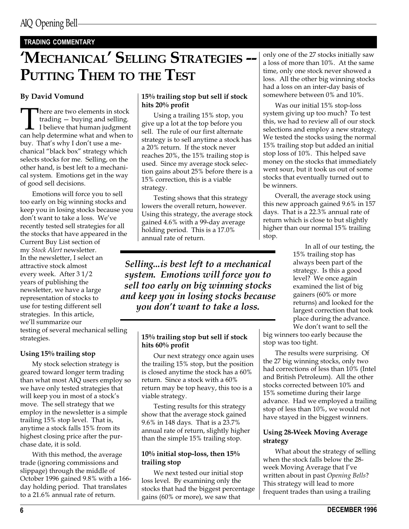### TRADING COMMENTARY

# 'MECHANICAL' SELLING STRATEGIES --PUTTING THEM TO THE TEST

There are two elements in stock<br>trading — buying and selling.<br>I believe that human judgment<br>can help determine what and when to trading  $-$  buying and selling.  $\Box$  I believe that human judgment buy. That's why I don't use a mechanical "black box" strategy which selects stocks for me. Selling, on the other hand, is best left to a mechanical system. Emotions get in the way of good sell decisions.

Emotions will force you to sell too early on big winning stocks and keep you in losing stocks because you don't want to take a loss. We've recently tested sell strategies for all the stocks that have appeared in the Current Buy List section of my Stock Alert newsletter. In the newsletter, I select an attractive stock almost every week. After 3 1/2 years of publishing the newsletter, we have a large representation of stocks to use for testing different sell strategies. In this article, we'll summarize our testing of several mechanical selling

strategies.

#### Using 15% trailing stop

My stock selection strategy is geared toward longer term trading than what most AIQ users employ so we have only tested strategies that will keep you in most of a stock's move. The sell strategy that we employ in the newsletter is a simple trailing 15% stop level. That is, anytime a stock falls 15% from its highest closing price after the purchase date, it is sold.

With this method, the average trade (ignoring commissions and slippage) through the middle of October 1996 gained 9.8% with a 166 day holding period. That translates to a 21.6% annual rate of return.

#### By David Vomund 15% trailing stop but sell if stock hits 20% profit

Using a trailing 15% stop, you give up a lot at the top before you sell. The rule of our first alternate strategy is to sell anytime a stock has a 20% return. If the stock never reaches 20%, the 15% trailing stop is used. Since my average stock selection gains about 25% before there is a 15% correction, this is a viable strategy.

Testing shows that this strategy lowers the overall return, however. Using this strategy, the average stock gained 4.6% with a 99-day average holding period. This is a 17.0% annual rate of return.

Selling...is best left to a mechanical system. Emotions will force you to sell too early on big winning stocks and keep you in losing stocks because you don't want to take a loss.

#### 15% trailing stop but sell if stock hits 60% profit

Our next strategy once again uses the trailing 15% stop, but the position is closed anytime the stock has a 60% return. Since a stock with a 60% return may be top heavy, this too is a viable strategy.

Testing results for this strategy show that the average stock gained 9.6% in 148 days. That is a 23.7% annual rate of return, slightly higher than the simple 15% trailing stop.

#### 10% initial stop-loss, then 15% trailing stop

We next tested our initial stop loss level. By examining only the stocks that had the biggest percentage gains (60% or more), we saw that

only one of the 27 stocks initially saw a loss of more than 10%. At the same time, only one stock never showed a loss. All the other big winning stocks had a loss on an inter-day basis of somewhere between 0% and 10%.

Was our initial 15% stop-loss system giving up too much? To test this, we had to review all of our stock selections and employ a new strategy. We tested the stocks using the normal 15% trailing stop but added an initial stop loss of 10%. This helped save money on the stocks that immediately went sour, but it took us out of some stocks that eventually turned out to be winners.

Overall, the average stock using this new approach gained 9.6% in 157 days. That is a 22.3% annual rate of return which is close to but slightly higher than our normal 15% trailing stop.

> In all of our testing, the 15% trailing stop has always been part of the strategy. Is this a good level? We once again examined the list of big gainers (60% or more returns) and looked for the largest correction that took place during the advance. We don't want to sell the

big winners too early because the stop was too tight.

The results were surprising. Of the 27 big winning stocks, only two had corrections of less than 10% (Intel and British Petroleum). All the other stocks corrected between 10% and 15% sometime during their large advance. Had we employed a trailing stop of less than 10%, we would not have stayed in the biggest winners.

#### Using 28-Week Moving Average strategy

What about the strategy of selling when the stock falls below the 28 week Moving Average that I've written about in past Opening Bells? This strategy will lead to more frequent trades than using a trailing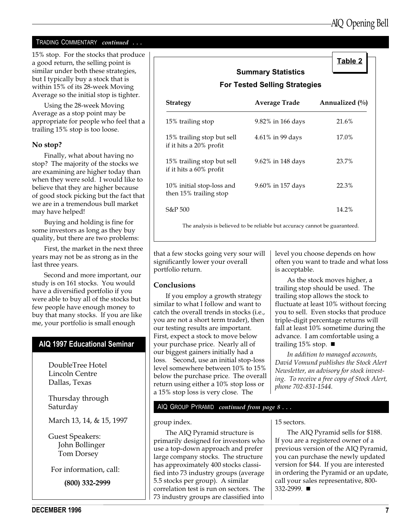Table 2

#### TRADING COMMENTARY continued ...

15% stop. For the stocks that produce a good return, the selling point is similar under both these strategies, but I typically buy a stock that is within 15% of its 28-week Moving Average so the initial stop is tighter.

Using the 28-week Moving Average as a stop point may be appropriate for people who feel that a trailing 15% stop is too loose.

#### No stop?

Finally, what about having no stop? The majority of the stocks we are examining are higher today than when they were sold. I would like to believe that they are higher because of good stock picking but the fact that we are in a tremendous bull market may have helped!

Buying and holding is fine for some investors as long as they buy quality, but there are two problems:

First, the market in the next three years may not be as strong as in the last three years.

Second and more important, our study is on 161 stocks. You would have a diversified portfolio if you were able to buy all of the stocks but few people have enough money to buy that many stocks. If you are like me, your portfolio is small enough

#### AIQ 1997 Educational Seminar

DoubleTree Hotel Lincoln Centre Dallas, Texas

Thursday through Saturday

March 13, 14, & 15, 1997

Guest Speakers: John Bollinger Tom Dorsey

For information, call:

(800) 332-2999

|                                                       | <b>Summary Statistics</b><br><b>For Tested Selling Strategies</b>          |                  |
|-------------------------------------------------------|----------------------------------------------------------------------------|------------------|
| <b>Strategy</b>                                       | <b>Average Trade</b>                                                       | Annualized $(\%$ |
| 15% trailing stop                                     | 9.82% in 166 days                                                          | 21.6%            |
| 15% trailing stop but sell<br>if it hits a 20% profit | 4.61% in 99 days                                                           | $17.0\%$         |
| 15% trailing stop but sell<br>if it hits a 60% profit | 9.62% in 148 days                                                          | 23.7%            |
| 10% initial stop-loss and<br>then 15% trailing stop   | 9.60% in 157 days                                                          | 22.3%            |
| S&P 500                                               |                                                                            | 14.2%            |
|                                                       | The analysis is believed to be reliable but accuracy cannot be guaranteed. |                  |

that a few stocks going very sour will significantly lower your overall portfolio return.

#### Conclusions

If you employ a growth strategy similar to what I follow and want to catch the overall trends in stocks (i.e., you are not a short term trader), then our testing results are important. First, expect a stock to move below your purchase price. Nearly all of our biggest gainers initially had a loss. Second, use an initial stop-loss level somewhere between 10% to 15% below the purchase price. The overall return using either a 10% stop loss or a 15% stop loss is very close. The

level you choose depends on how often you want to trade and what loss is acceptable.

As the stock moves higher, a trailing stop should be used. The trailing stop allows the stock to fluctuate at least 10% without forcing you to sell. Even stocks that produce triple-digit percentage returns will fall at least 10% sometime during the advance. I am comfortable using a trailing 15% stop.  $\blacksquare$ 

In addition to managed accounts, David Vomund publishes the Stock Alert Newsletter, an advisory for stock investing. To receive a free copy of Stock Alert, phone 702-831-1544.

#### AIQ GROUP PYRAMID continued from page 8 . . .

group index.

The AIQ Pyramid structure is primarily designed for investors who use a top-down approach and prefer large company stocks. The structure has approximately 400 stocks classified into 73 industry groups (average 5.5 stocks per group). A similar correlation test is run on sectors. The 73 industry groups are classified into

15 sectors.

The AIQ Pyramid sells for \$188. If you are a registered owner of a previous version of the AIQ Pyramid, you can purchase the newly updated version for \$44. If you are interested in ordering the Pyramid or an update, call your sales representative, 800- 332-2999. ■